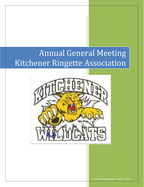# Annual General Meeting  $\vert$ Kitchener Ringette Association



Lions Hall and Zoom – June 9, 2022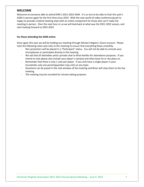## <span id="page-2-0"></span>**WELCOME**

Welcome to everyone able to attend KRA's 2021-2022 AGM. It's so nice to be able to host this year's AGM in person again for the first time since 2019. With the new world of video conferencing we're happy to provide a hybrid meeting style with an online component for those who can't make the meeting in person. Over the next hour or so we will look back at what was the 2021-2022 season, and start looking forward to 2022-2023.

#### **For those attending the AGM online**

Once again this year we will be holding our meeting through Western Region's Zoom account. Please note the following notes and rules to the meeting to ensure that everything flows smoothly.

- Non presenters will be placed in a "Participant" status. You will not be able to unmute your microphones or participate directly in the meeting.
- We ask that all attendees send a private chat to Brian Kettles for attendance purposes. If you intend to vote please also include your player's name(s) and what team he or she plays on.
- Remember that there is only 1 vote per player. If you only have a single player in your household, only one parent/guardian may vote on any topic.
- Questions can be posed in the chat window of the meeting and Brian will relay them to the live meeting.
- The meeting may be recorded for minute-taking purposes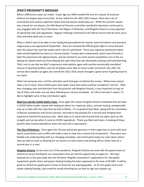# <span id="page-3-0"></span>**(PAST) PRESIDENT'S MESSAGE**

What a difference a year can make! A year ago our AGM marked the end of a season of practices without any league play of any kind. As we rolled into the 2021-2022 season, there was a lot of uncertainty and cautious optimism about how the season would play out. While the summer season was a break for our players, the KRA Board of Directors and other wonderful volunteers continued to stay engaged with the City of Kitchener, the Region of Waterloo, and Ringette Ontario to stay apprised of upcoming rules and regulations. Regular meetings continued to be held to ensure that we were up to date and knew what was to come.

What a relief it was to be able to start laying the groundwork for tryouts, team formations and eventual league play as we approached September. Once we received the official green light to move forward with the season the next few weeks were a bit of a whirlwind. There was a general excitement about what would hopefully be close to a normal season. Tryouts were compressed, teams were formed at both the provincial and regional levels, and we started to see some actual competition out on the ice. Seeing our players back out there playing the sport they love was absolutely amazing and heartwarming. That's not to say that we didn't experience interruptions again with another provincially mandated closure of sporting facilities, and not all players were able to return under provincial rules after the arenas were opened up again, but overall the 2021-2022 season brought a great sense of getting back to our sport.

What not everyone sees is all the volunteer work that goes on behind the scenes. While every season takes a lot of work, these COVID years have taken more than what could be considered "normal". With ever changing rules and direction from the province and Ringette Ontario, it was important to stay on top of these and make sure we were following our various mandates. As I did in last year's report, I'd like to highlight some of key contributors again.

**Mark Eys and the COVID Safety Team.** Once again this season Ringette Ontario mandated that we have a COVID Safety Leader tasked with helping to direct our response, plans, contract tracing, and generally stay up to date with the rules that we had to follow. I'm so grateful that Mark, along with his committee of Bonnie Saunderson and Chrissy Gervais, returned to the position for a second year bringing their experience learned the previous year. Mark kept us in check and ensured that our plans were on the straight and narrow when it came to COVID regulations. Thank you Mark and team, including all those parents who tracked attendance when this was still a requirement.

**The City of Kitchener.** Once again the City was extremely generous in their eagerness to work with local sports associations such as KRA and made it easy to step into a season full of questions. They were very flexible and understanding with our changing mandates, and continued to keep our costs down where they we able to (such as allowing for ice returns on short notice and writing off our locker fees for a second year in a row).

**Ringette Ontario.** As we come out of the pandemic, Ringette Ontario has work with the government of Ontario to secure funding for our associations that we had the opportunity to apply for. We have learned just in the past week that the Kitchener Ringette Association's applications for new goalie equipment, goalie clinics and power skating funding has been approved to the tune of \$9,500! It will be great to refresh our goalie gear to have on hand for our aspiring goalies. As for the goalie clinics and power skating funding, stay tuned for emails directing you on how to sign your players up.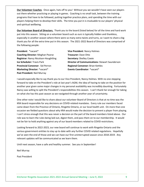**Our Volunteer Coaches**. Once again, hats off to you! Without you we wouldn't have seen our players out there whether practicing or playing in games. Coaching is no small task, between the training programs that have to be followed, putting together practice plans, and spending the time with our players helping them to develop their skills. The time you put in is invaluable to our players' physical and spiritual wellbeing.

**Our Volunteer Board of Directors.** Thank you to the board (listed below) for all the time and hard work put into this season. Sitting on a volunteer board such as ours is typically hidden and thankless, especially in another season where there were so many extra twists and turns, so I want to share a big thank you for all the extra time put in this season. The 2021-2022 Board of Directors was comprised of the following people:

| President: *vacant*                         | Vice President: Nancy Holmes                          |
|---------------------------------------------|-------------------------------------------------------|
| <b>Coaching Director: Meghan Pearse</b>     | <b>Treasurer: Dave Otto</b>                           |
| <b>Registrar: Nancy Nicolson-Houghtling</b> | <b>Secretary: Shelley Cowie</b>                       |
| <b>Ice Scheduler: Travis Park</b>           | <b>Director of Communications: Stewart Saunderson</b> |
| <b>Provincial Convenor: Sid Perron</b>      | <b>Regional Convenor: Brian Kettles</b>               |
| Marketing Director: *vacant*                | <b>Events Coordinator: *vacant*</b>                   |
| Past President: Neil Murray                 |                                                       |

I would especially like to say thank you to our Vice President, Nancy Holmes. With no one stepping forward to take on the President's role at last year's AGM, the idea of having to take on the position for another year given some major changes in my personal availability was incredibly daunting. Fortunately Nancy was willing to split the President's responsibilities this season. I can't thank her enough for taking on what she has this past season as we navigated through another year of uncertainty.

One other note I would like to share about our volunteer Board of Directors is that at no time was the KRA board responsible for any decisions on COVID-related mandates. Every rule our members faced came down from the Province of Ontario, Ringette Ontario, or our local health unit. On more than one occasion we fielded questions about why KRA would make the decision to prevent a player from playing. I can't stress enough that this was never a decision on the part of the board members listed above. Our role was to learn the rules being laid out, digest them, and pass them on to our membership. It would not be fair to hold anything against any of our board members related to COVID restrictions.

Looking forward to 2022-2023, our new board will continue to work with Ringette Ontario and the various government entities to stay up to date with any further COVID related regulations. Hopefully we've seen the end of those and we can have our first uninterrupted season since 2018-2019. Any relevant updates will be communicated as we learn them.

Until next season, have a safe and healthy summer. See you in September!

Neil Murray

Past President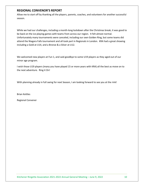## <span id="page-5-0"></span>**REGIONAL CONVENOR'S REPORT**

Allow me to start off by thanking all the players, parents, coaches, and volunteers for another successful season.

While we had our challenges, including a month-long lockdown after the Christmas break, it was good to be back on the ice playing games with teams from across our region. It felt almost normal. Unfortunately many tournaments were canceled, including our own Golden Ring, but some teams did attend the Niagara Falls tournament and all took part in Regionals in London. KRA had a great showing including a Gold at U14, and a Bronze & a Silver at U12.

We welcomed new players at Fun 1, and said goodbye to some U19 players as they aged out of our minor age program.

I wish those U19 players (many you have played 15 or more years with KRA) all the best as move on to the next adventure. Ring it On!

With planning already in full swing for next Season, I am looking forward to see you at the rink!

Brian Kettles

Regional Convener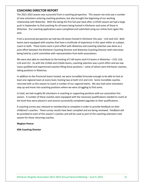## <span id="page-6-0"></span>**COACHING DIRECTOR REPORT**

The 2021-2022 season was successful from a coaching perspective. This season not only saw a number of new volunteers entering coaching positions, but also brought the beginning of our working relationship with Waterloo. With this being the first full year back after a COVID season we had a large push in September to find coaching for all teams being hosted in Kitchener and some of those in Waterloo. Our coaching applications were completed and submitted using our online form again this year.

From a provincial perspective we had two AA teams hosted in Kitchener this year - U14 and U16. Both teams were equipped with coaches that have a multitude of experience in this sport either as a player, coach or both. These teams were a joint effort with Waterloo and coaching selection was done as a joint effort between the Kitchener Coaching Director and Waterloo Coaching Director with interviews being held by a joint committee with representation from both associations.

We were also able to contribute to the hosting of 2 AA teams and 4 A teams in Waterloo – U19, U16, U14 and U12. As with the U14AA and U16AA teams, coaching selection was a joint effort and we saw many qualified and experienced coaches filling these positions – some of whom were Kitchener coaches, taking positions in Waterloo.

In addition to the Provincial teams hosted, we were incredibly fortunate enough to be able to host at least one regional team at every level, hosting two at both U12 and U14. Some incredible coaches returned with us this season to coach a number of our regional teams. We also had some volunteers step up and move into coaching positions where we were struggling to find some.

In total, we had roughly 60 volunteers in coaching or supporting positions with our association this season. A number of these coaches were equipped with the necessary qualifications needed to coach at the level they were placed in and several successfully completed upgrades to their qualifications.

A coaching survey was released to membership to complete in order to provide feedback on their child(ren)'s coaches. These survey results have been compiled and are being reviewed. Feedback will be provided to each of this season's coaches and will be used as part of the coaching selections next season for those returning coaches.

#### **Meghan Pearse**

**KRA Coaching Director**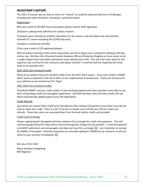## <span id="page-7-0"></span>**REGISTRAR'S REPORT**

The 2021-22 season was as close to return to "normal" as could be expected with lots of challenges including late team formation, shutdowns, and extra events.

#### Registration:

KRA saw a total of 243 KRA home association players and 81 staff registered.

18 players subsequently withdrew for various reasons.

29 players were released to another association for the season, and one player was permanently released (3rd season excluding the COVID skip year).

18 players transferred into KRA

Clinics saw a total of 129 registered players.

With all players starting in their home association, we had to figure out a method for billing for RO fees and ice use. We then did a financial transfer between KRA and Waterloo Ringette as it was easier to do a single cheque than have both associations issue refunds and re-bill. This was a bit more work for the registrars but a lot less for the treasurers and player families! It worked well but hopefully will never need to be repeated LOL!

#### 2021-2022 Carry-forward Credits

Many of our players had carry-forward credits from the 2021-2022 season. Carry-over credits in RAMP didn't work as expected in the fall of 2021, so we implemented a workaround. Thank you everyone for your patience as we worked out the "bugs".

#### 2022-2023 Carry-forward Credits

Thankfully RAMP's account credit system is now working properly and many members were able to use their outstanding credits for Springette registration. Any KRA members who still have credits will see them automatically applied against your fall registration.

#### Credit Refunds

Any family can request their credit to be refunded by their method of payment at any time if you do not wish to retain this credit. There is a \$5.75 fee for e-transfer and a 5% fee (min \$5) for credit card refunds. These fees cover our associated fees from the bank and/or credit card provider.

#### Credit Card Surcharge

Players registering for Springette will have noticed a \$5 surcharge for credit card payments. This will continue going forward to help recover the processing fees charges by our provider. E-transfer payment is ALWAYS welcomed, and encouraged, and does not have this surcharge  $\circled{3}$ . Just remember to include the NAME of the player. Etransfer payments are manually updated in RAMP by our treasurer so will not show on your account immediately  $\circled{e}$ .

See you at the rinks!

Nancy Nicolson-Houghtling KRA Registrar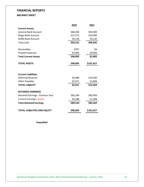# <span id="page-8-0"></span>**FINANCIAL REPORTS**

## <span id="page-8-1"></span>**BALANCE SHEET**

|                                     | 2022                 | 2021      |
|-------------------------------------|----------------------|-----------|
| <b>Current Assets</b>               |                      |           |
| <b>General Bank Account</b>         | \$68,504             | \$69,409  |
| <b>Bingo Bank Account</b>           | \$15,575             | \$18,000  |
| Raffle Bank Account                 | \$9,236              | \$9,236   |
| <b>Total Cash</b>                   | \$93,315<br>\$96,645 |           |
|                                     |                      |           |
| Receivables                         | \$597                | \$0       |
| <b>Prepaid Expenses</b>             | \$4,983              | \$4,983   |
| <b>Total Current Assets</b>         | \$98,895             | \$4,983   |
|                                     |                      |           |
| <b>TOTAL ASSETS</b>                 | \$98,895             | \$101,627 |
|                                     |                      |           |
|                                     |                      |           |
| <b>Current Liabilities</b>          |                      |           |
| <b>Deferred Revenue</b>             | \$6,680              | \$14,560  |
| <b>Other Payables</b>               | \$2,671<br>\$1,804   |           |
| <b>TOTAL LIABILITY</b>              | \$9,351              | \$16,364  |
|                                     |                      |           |
| <b>RETAINED EARNINGS</b>            |                      |           |
| Retained Earnings - Previous Year   | \$85,264             | \$83,956  |
| Current Earnings / (Loss)           | \$4,280              | \$1,308   |
| <b>Total Retained Earnings</b>      | \$89,544<br>\$85,264 |           |
|                                     |                      |           |
| <b>TOTAL LIABILITIES AND EQUITY</b> | \$98,895             | \$101,627 |

*Unaudited*

Kitchener Ringette Association 2021-2022 Annual General Meeting - June 9, 2022 13